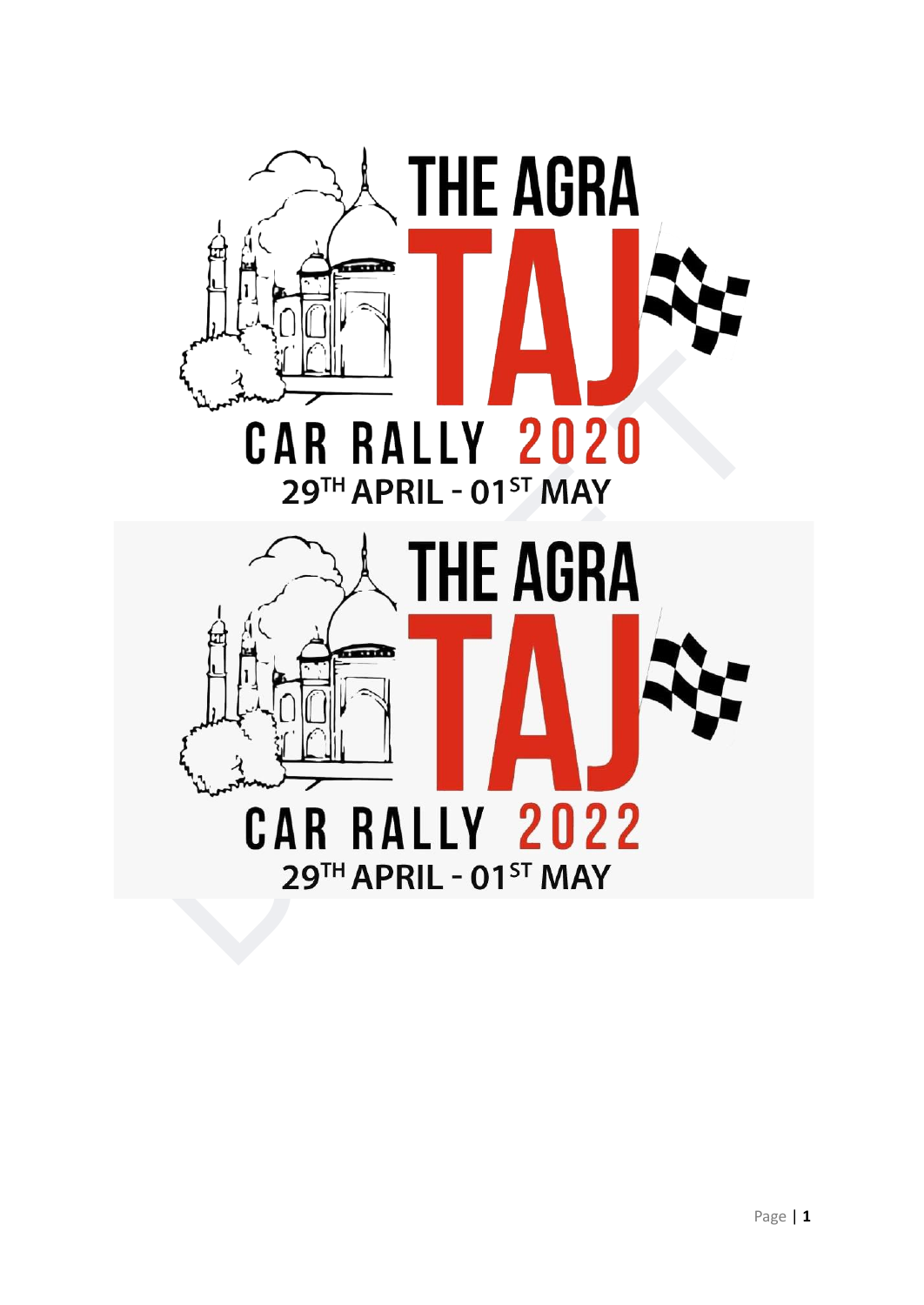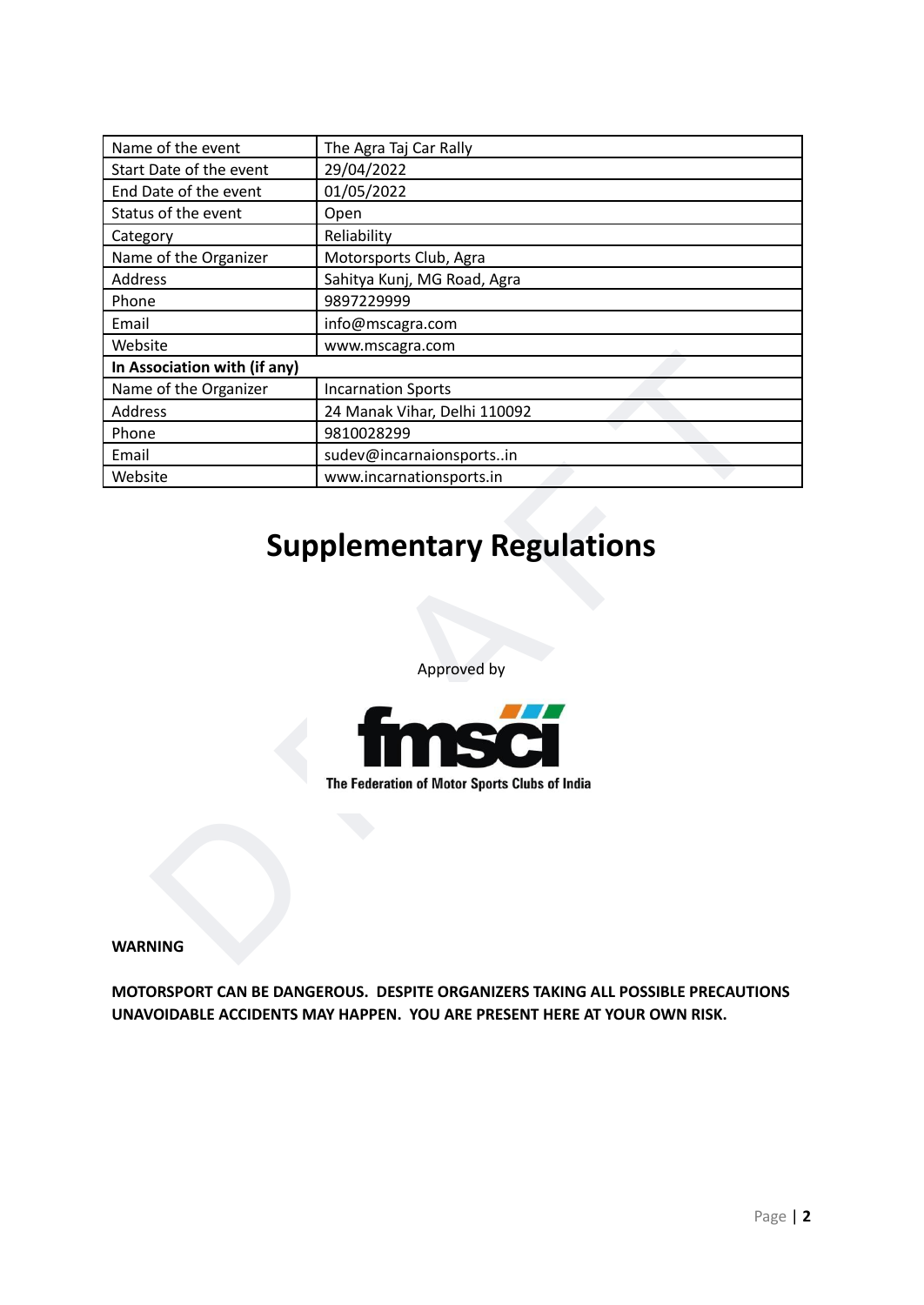| Name of the event<br>Start Date of the event | The Agra Taj Car Rally                        |
|----------------------------------------------|-----------------------------------------------|
|                                              | 29/04/2022                                    |
| End Date of the event                        | 01/05/2022                                    |
| Status of the event                          | Open                                          |
| Category                                     | Reliability                                   |
| Name of the Organizer                        | Motorsports Club, Agra                        |
| Address                                      | Sahitya Kunj, MG Road, Agra                   |
| Phone                                        | 9897229999                                    |
| Email                                        | info@mscagra.com                              |
| Website                                      | www.mscagra.com                               |
| In Association with (if any)                 |                                               |
| Name of the Organizer                        | <b>Incarnation Sports</b>                     |
| Address                                      | 24 Manak Vihar, Delhi 110092                  |
| Phone                                        | 9810028299                                    |
| Email                                        | sudev@incarnaionsportsin                      |
| Website                                      | www.incarnationsports.in                      |
|                                              | <b>Supplementary Regulations</b>              |
|                                              | Approved by<br>m                              |
|                                              | The Federation of Motor Sports Clubs of India |
|                                              |                                               |
|                                              |                                               |

# **Supplementary Regulations**



**MOTORSPORT CAN BE DANGEROUS. DESPITE ORGANIZERS TAKING ALL POSSIBLE PRECAUTIONS UNAVOIDABLE ACCIDENTS MAY HAPPEN. YOU ARE PRESENT HERE AT YOUR OWN RISK.**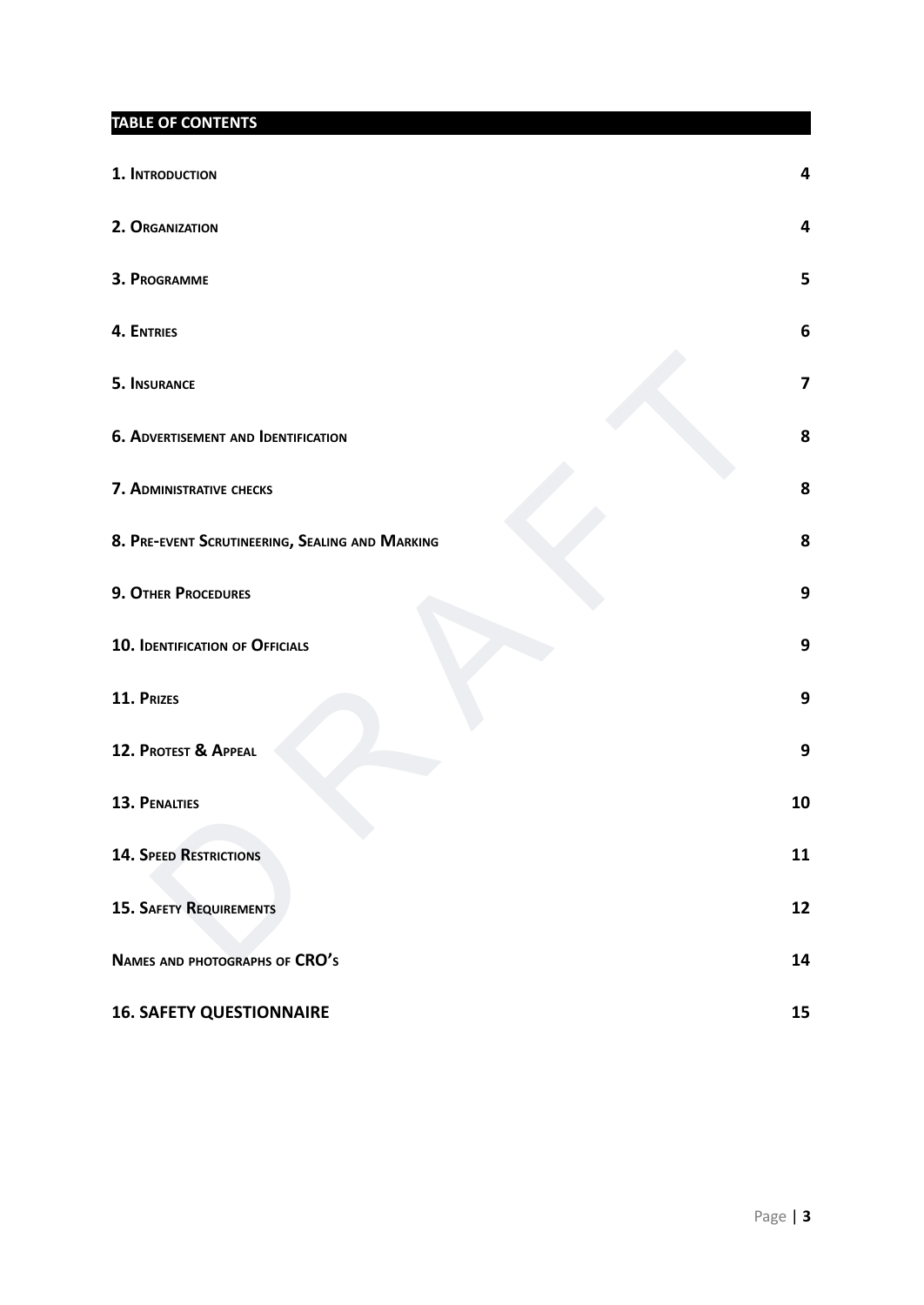**TABLE OF CONTENTS**

| 1. INTRODUCTION                                 | Δ              |
|-------------------------------------------------|----------------|
| 2. ORGANIZATION                                 | 4              |
| 3. PROGRAMME                                    | 5              |
| <b>4. ENTRIES</b>                               | 6              |
| 5. INSURANCE                                    | $\overline{7}$ |
| <b>6. ADVERTISEMENT AND IDENTIFICATION</b>      | 8              |
| 7. ADMINISTRATIVE CHECKS                        | 8              |
| 8. PRE-EVENT SCRUTINEERING, SEALING AND MARKING | 8              |
| 9. OTHER PROCEDURES                             | 9              |
| <b>10. IDENTIFICATION OF OFFICIALS</b>          | 9              |
| 11. PRIZES                                      | 9              |
| 12. PROTEST & APPEAL                            | 9              |
| 13. PENALTIES                                   | 10             |
| <b>14. SPEED RESTRICTIONS</b>                   | 11             |
| <b>15. SAFETY REQUIREMENTS</b>                  | 12             |
| NAMES AND PHOTOGRAPHS OF CRO'S                  | 14             |
| <b>16. SAFETY QUESTIONNAIRE</b>                 | 15             |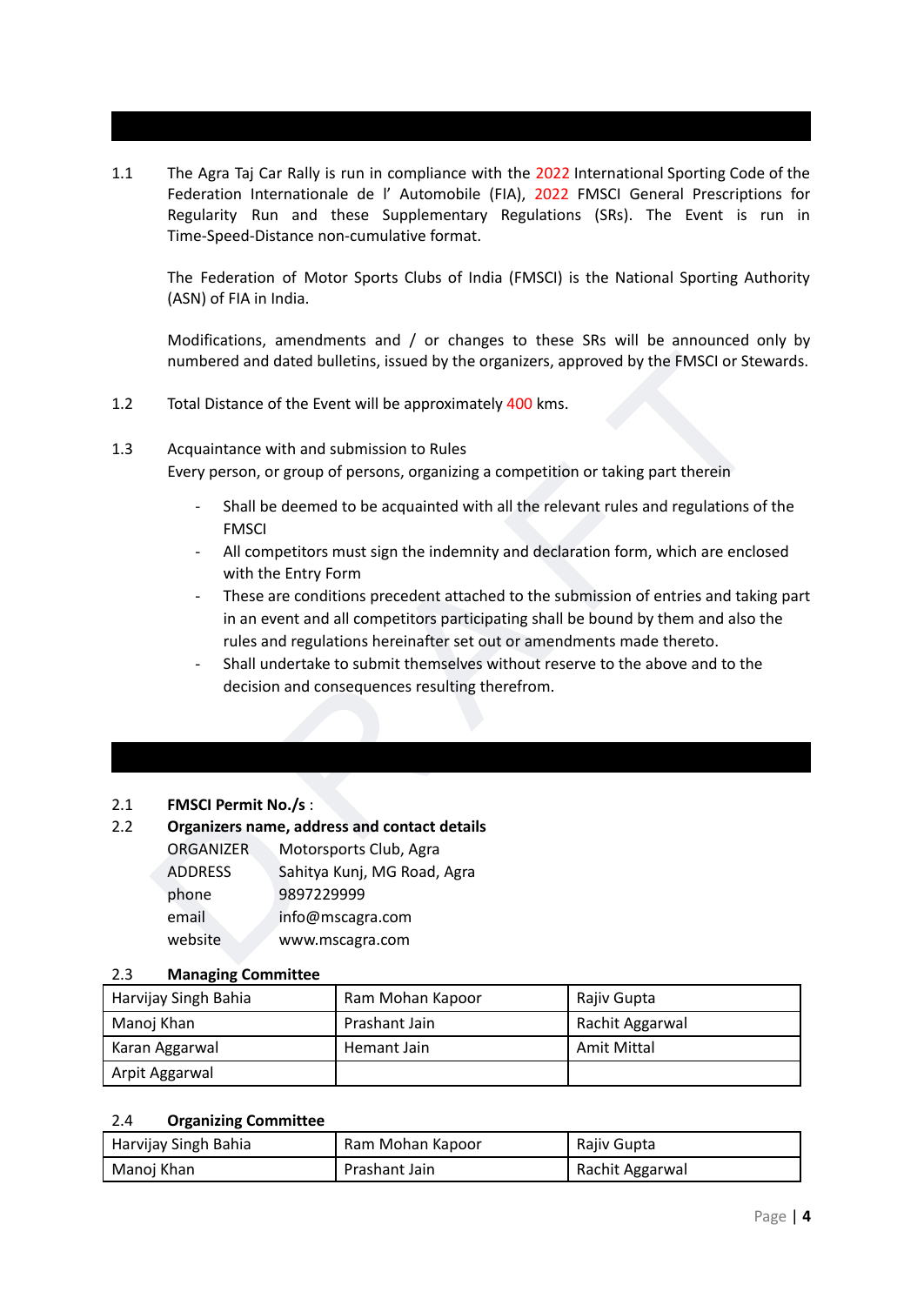<span id="page-3-0"></span>1.1 The Agra Taj Car Rally is run in compliance with the 2022 International Sporting Code of the Federation Internationale de l' Automobile (FIA), 2022 FMSCI General Prescriptions for Regularity Run and these Supplementary Regulations (SRs). The Event is run in Time-Speed-Distance non-cumulative format.

The Federation of Motor Sports Clubs of India (FMSCI) is the National Sporting Authority (ASN) of FIA in India.

Modifications, amendments and / or changes to these SRs will be announced only by numbered and dated bulletins, issued by the organizers, approved by the FMSCI or Stewards.

- 1.2 Total Distance of the Event will be approximately 400 kms.
- 1.3 Acquaintance with and submission to Rules

Every person, or group of persons, organizing a competition or taking part therein

- Shall be deemed to be acquainted with all the relevant rules and regulations of the FMSCI
- All competitors must sign the indemnity and declaration form, which are enclosed with the Entry Form
- numbered and dated bulletins, issued by the organizers, approved by the FMSCI or Stewards.<br>
Total Distance of the Event will be approximately 400 kms.<br>
Acquaintance with and submission to Rules<br>
Every person, or group of p These are conditions precedent attached to the submission of entries and taking part in an event and all competitors participating shall be bound by them and also the rules and regulations hereinafter set out or amendments made thereto.
	- Shall undertake to submit themselves without reserve to the above and to the decision and consequences resulting therefrom.

#### <span id="page-3-1"></span>2.1 **FMSCI Permit No./s** :

#### 2.2 **Organizers name, address and contact details**

| <b>ORGANIZER</b> | Motorsports Club, Agra      |
|------------------|-----------------------------|
| <b>ADDRESS</b>   | Sahitya Kunj, MG Road, Agra |
| phone            | 9897229999                  |
| email            | info@mscagra.com            |
| website          | www.mscagra.com             |
|                  |                             |

#### 2.3 **Managing Committee**

| Harvijay Singh Bahia | Ram Mohan Kapoor | Rajiv Gupta     |
|----------------------|------------------|-----------------|
| Manoj Khan           | Prashant Jain    | Rachit Aggarwal |
| Karan Aggarwal       | Hemant Jain      | Amit Mittal     |
| Arpit Aggarwal       |                  |                 |

#### 2.4 **Organizing Committee**

| Harvijay Singh Bahia | Ram Mohan Kapoor | Rajiv Gupta     |
|----------------------|------------------|-----------------|
| Manoj Khan           | Prashant Jain    | Rachit Aggarwal |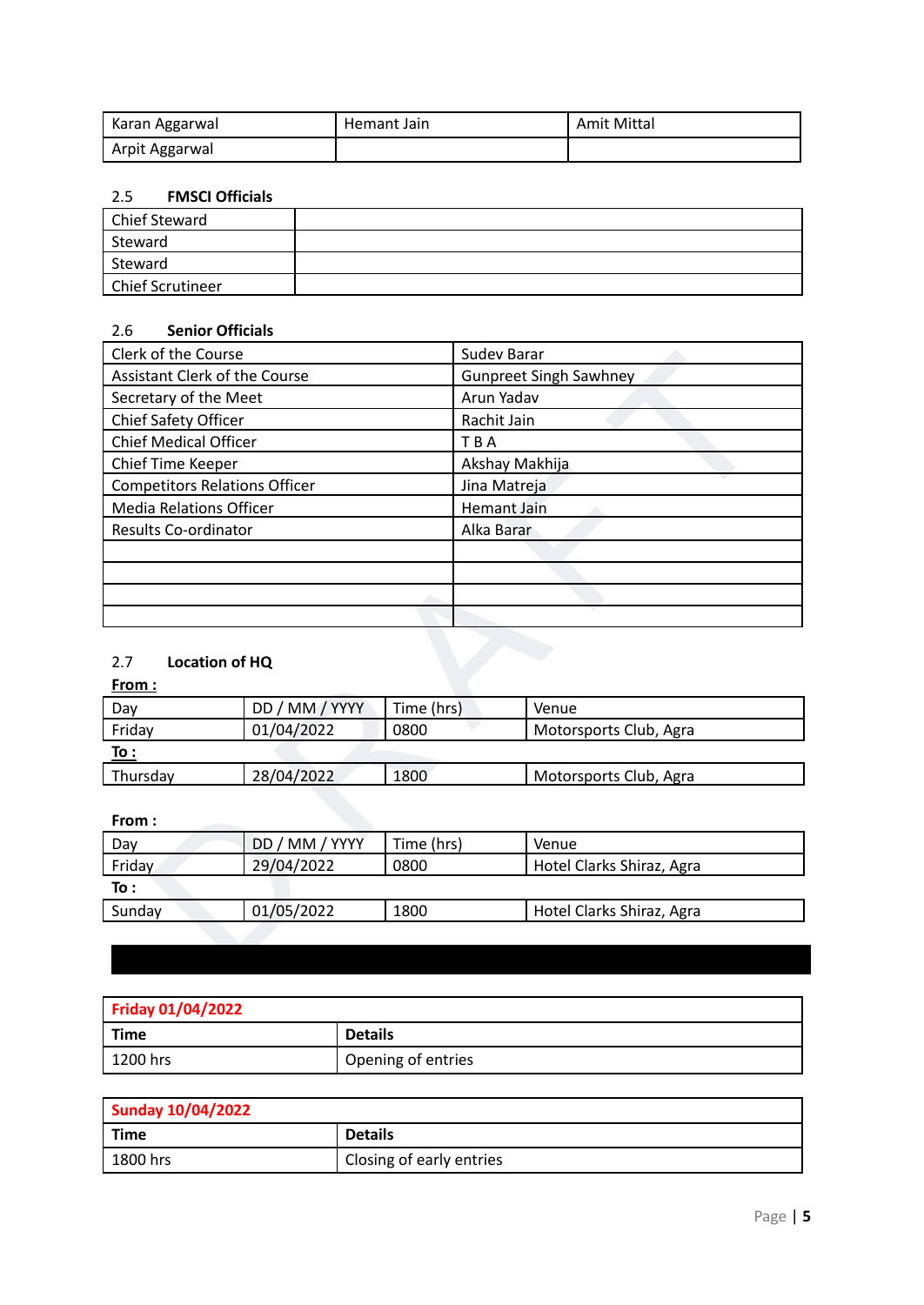| Karan Aggarwal | Hemant Jain | <b>Amit Mittal</b> |
|----------------|-------------|--------------------|
| Arpit Aggarwal |             |                    |

#### 2.5 **FMSCI Officials**

| Chief Steward    |  |
|------------------|--|
| Steward          |  |
| Steward          |  |
| Chief Scrutineer |  |

#### 2.6 **Senior Officials**

| Clerk of the Course                  |                | Sudev Barar |                               |                           |  |
|--------------------------------------|----------------|-------------|-------------------------------|---------------------------|--|
| <b>Assistant Clerk of the Course</b> |                |             | <b>Gunpreet Singh Sawhney</b> |                           |  |
| Secretary of the Meet                |                |             |                               | Arun Yadav                |  |
| Chief Safety Officer                 |                |             | Rachit Jain                   |                           |  |
| <b>Chief Medical Officer</b>         |                |             | TBA                           |                           |  |
| Chief Time Keeper                    |                |             | Akshay Makhija                |                           |  |
| <b>Competitors Relations Officer</b> |                |             | Jina Matreja                  |                           |  |
| <b>Media Relations Officer</b>       |                |             | <b>Hemant Jain</b>            |                           |  |
| Results Co-ordinator                 |                |             | Alka Barar                    |                           |  |
|                                      |                |             |                               |                           |  |
|                                      |                |             |                               |                           |  |
|                                      |                |             |                               |                           |  |
|                                      |                |             |                               |                           |  |
|                                      |                |             |                               |                           |  |
| 2.7<br>Location of HQ                |                |             |                               |                           |  |
| <u>From :</u>                        |                |             |                               |                           |  |
| Day                                  | DD / MM / YYYY | Time (hrs)  |                               | Venue                     |  |
| Friday                               | 01/04/2022     | 0800        |                               | Motorsports Club, Agra    |  |
| To:                                  |                |             |                               |                           |  |
| Thursday                             | 28/04/2022     | 1800        |                               | Motorsports Club, Agra    |  |
|                                      |                |             |                               |                           |  |
| From:                                |                |             |                               |                           |  |
| DD / MM / YYYY<br>Time (hrs)<br>Day  |                |             | Venue                         |                           |  |
| Friday                               | 29/04/2022     | 0800        |                               | Hotel Clarks Shiraz, Agra |  |
| To:                                  |                |             |                               |                           |  |
| Sunday                               | 01/05/2022     | 1800        |                               | Hotel Clarks Shiraz, Agra |  |
|                                      |                |             |                               |                           |  |
|                                      |                |             |                               |                           |  |

### 2.7 **Location of HQ**

#### **From :**

| Day         | DD / MM / YYYY | Time (hrs) | Venue                  |
|-------------|----------------|------------|------------------------|
| Friday      | 01/04/2022     | 0800       | Motorsports Club, Agra |
| <u>To :</u> |                |            |                        |
| Thursday    | 28/04/2022     | 1800       | Motorsports Club, Agra |

#### **From :**

| Day    | DD / MM / YYYY | Time (hrs) | Venue                     |
|--------|----------------|------------|---------------------------|
| Friday | 29/04/2022     | 0800       | Hotel Clarks Shiraz, Agra |
| To :   |                |            |                           |
| Sunday | 01/05/2022     | 1800       | Hotel Clarks Shiraz, Agra |

# <span id="page-4-0"></span>**Friday 01/04/2022 Time Details** 1200 hrs **Opening of entries**

| <b>Sunday 10/04/2022</b> |                           |  |
|--------------------------|---------------------------|--|
| <b>Time</b>              | <b>Details</b>            |  |
| 1800 hrs                 | 'Closing of early entries |  |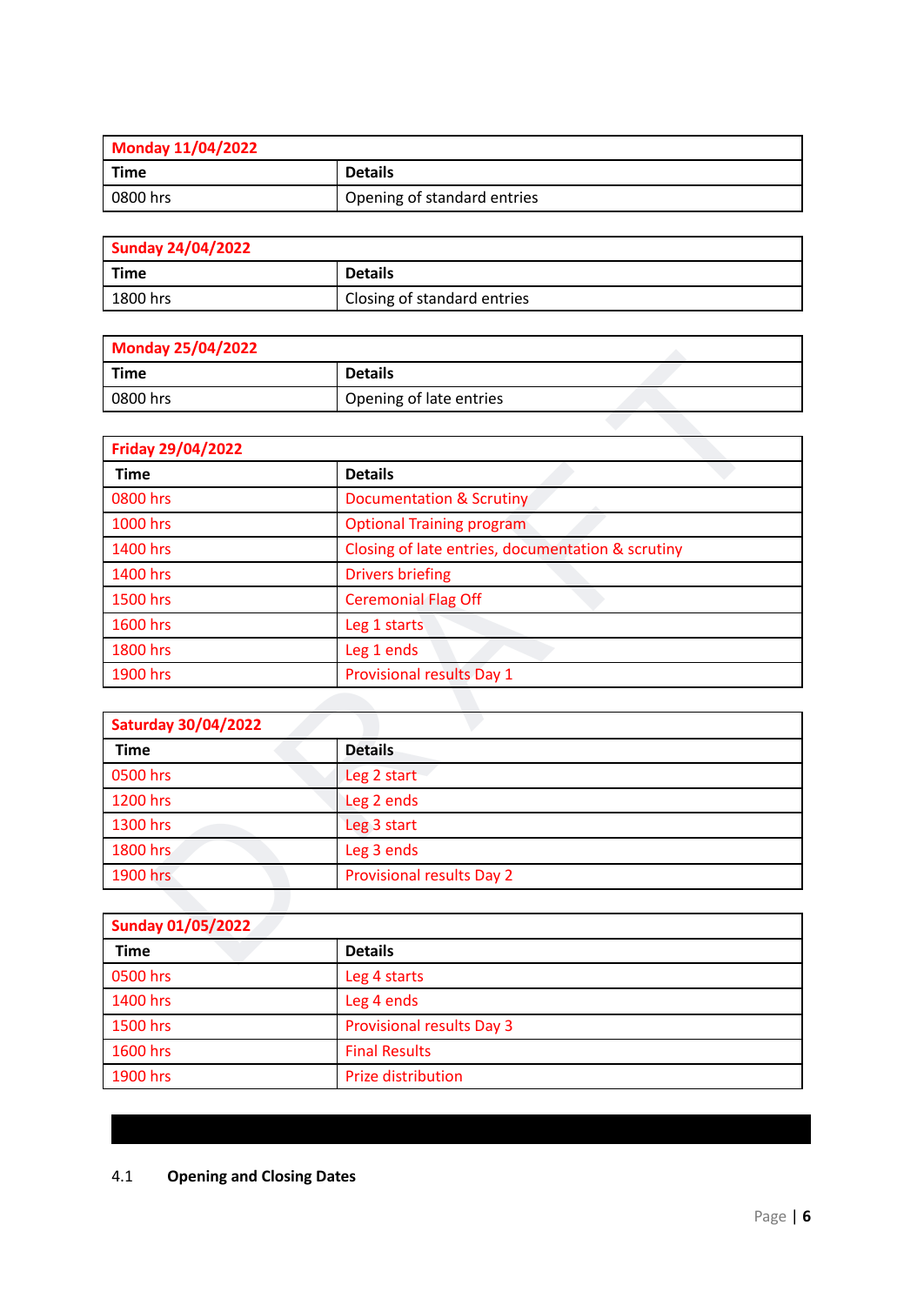| Monday 11/04/2022 |                             |  |
|-------------------|-----------------------------|--|
| Time              | <b>Details</b>              |  |
| 0800 hrs          | Opening of standard entries |  |

| <b>Sunday 24/04/2022</b> |                             |  |
|--------------------------|-----------------------------|--|
| <b>Time</b>              | <b>Details</b>              |  |
| 1800 hrs                 | Closing of standard entries |  |

| <b>Monday 25/04/2022</b> |                         |  |
|--------------------------|-------------------------|--|
| Time                     | <b>Details</b>          |  |
| 0800 hrs                 | Opening of late entries |  |

| <b>NORTHLY ZO / 04/ ZUZZ</b> |                                                   |  |  |
|------------------------------|---------------------------------------------------|--|--|
| <b>Time</b>                  | <b>Details</b>                                    |  |  |
| 0800 hrs                     | Opening of late entries                           |  |  |
|                              |                                                   |  |  |
| Friday 29/04/2022            |                                                   |  |  |
| <b>Time</b>                  | <b>Details</b>                                    |  |  |
| 0800 hrs                     | <b>Documentation &amp; Scrutiny</b>               |  |  |
| 1000 hrs                     | <b>Optional Training program</b>                  |  |  |
| 1400 hrs                     | Closing of late entries, documentation & scrutiny |  |  |
| 1400 hrs                     | <b>Drivers briefing</b>                           |  |  |
| 1500 hrs                     | <b>Ceremonial Flag Off</b>                        |  |  |
| 1600 hrs                     | Leg 1 starts                                      |  |  |
| 1800 hrs                     | Leg 1 ends                                        |  |  |
| 1900 hrs                     | <b>Provisional results Day 1</b>                  |  |  |
|                              |                                                   |  |  |
| <b>Saturday 30/04/2022</b>   |                                                   |  |  |
| <b>Time</b>                  | <b>Details</b>                                    |  |  |
| 0500 hrs                     | Leg 2 start                                       |  |  |
| 1200 hrs                     | Leg 2 ends                                        |  |  |
| 1300 hrs                     | Leg 3 start                                       |  |  |
| 1800 hrs                     | Leg 3 ends                                        |  |  |
| 1900 hrs                     | <b>Provisional results Day 2</b>                  |  |  |
|                              |                                                   |  |  |
| <b>Sunday 01/05/2022</b>     |                                                   |  |  |
| <b>Time</b>                  | <b>Details</b>                                    |  |  |
|                              |                                                   |  |  |

| <b>Saturday 30/04/2022</b> |                                  |  |
|----------------------------|----------------------------------|--|
| <b>Time</b>                | <b>Details</b>                   |  |
| 0500 hrs                   | Leg 2 start                      |  |
| 1200 hrs                   | Leg 2 ends                       |  |
| 1300 hrs                   | Leg 3 start                      |  |
| 1800 hrs                   | Leg 3 ends                       |  |
| 1900 hrs                   | <b>Provisional results Day 2</b> |  |

<span id="page-5-0"></span>

| <b>Sunday 01/05/2022</b> |                                  |  |
|--------------------------|----------------------------------|--|
| <b>Time</b>              | <b>Details</b>                   |  |
| 0500 hrs                 | Leg 4 starts                     |  |
| 1400 hrs                 | Leg 4 ends                       |  |
| 1500 hrs                 | <b>Provisional results Day 3</b> |  |
| 1600 hrs                 | <b>Final Results</b>             |  |
| 1900 hrs                 | Prize distribution               |  |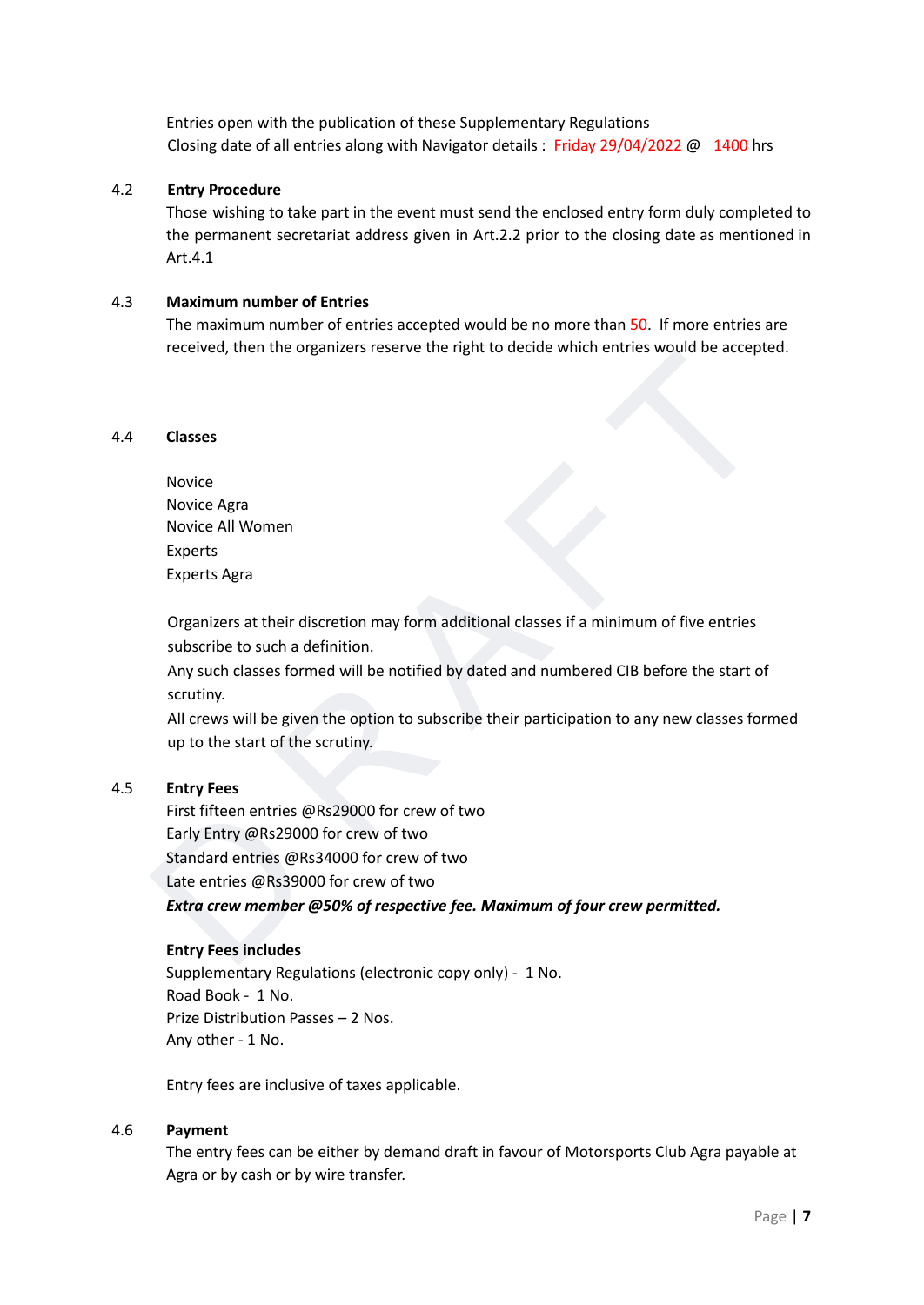Entries open with the publication of these Supplementary Regulations Closing date of all entries along with Navigator details : Friday 29/04/2022 @ 1400 hrs

#### 4.2 **Entry Procedure**

Those wishing to take part in the event must send the enclosed entry form duly completed to the permanent secretariat address given in Art.2.2 prior to the closing date as mentioned in Art.4.1

#### 4.3 **Maximum number of Entries**

The maximum number of entries accepted would be no more than 50. If more entries are received, then the organizers reserve the right to decide which entries would be accepted.

#### 4.4 **Classes**

Novice Novice Agra Novice All Women Experts Experts Agra

Organizers at their discretion may form additional classes if a minimum of five entries subscribe to such a definition.

Any such classes formed will be notified by dated and numbered CIB before the start of scrutiny.

All crews will be given the option to subscribe their participation to any new classes formed up to the start of the scrutiny.

#### 4.5 **Entry Fees**

received, then the organizers reserve the hight to become Which entries would be accepted.<br>
Classes<br>
Novice Agra<br>
Novice Agra<br>
Novice Agra<br>
Experts<br>
Experts Agra<br>
Experts Agra<br>
Corganizers at their discretion may form addi First fifteen entries @Rs29000 for crew of two Early Entry @Rs29000 for crew of two Standard entries @Rs34000 for crew of two Late entries @Rs39000 for crew of two *Extra crew member @50% of respective fee. Maximum of four crew permitted.*

#### **Entry Fees includes**

Supplementary Regulations (electronic copy only) - 1 No. Road Book - 1 No. Prize Distribution Passes – 2 Nos. Any other - 1 No.

Entry fees are inclusive of taxes applicable.

#### 4.6 **Payment**

The entry fees can be either by demand draft in favour of Motorsports Club Agra payable at Agra or by cash or by wire transfer.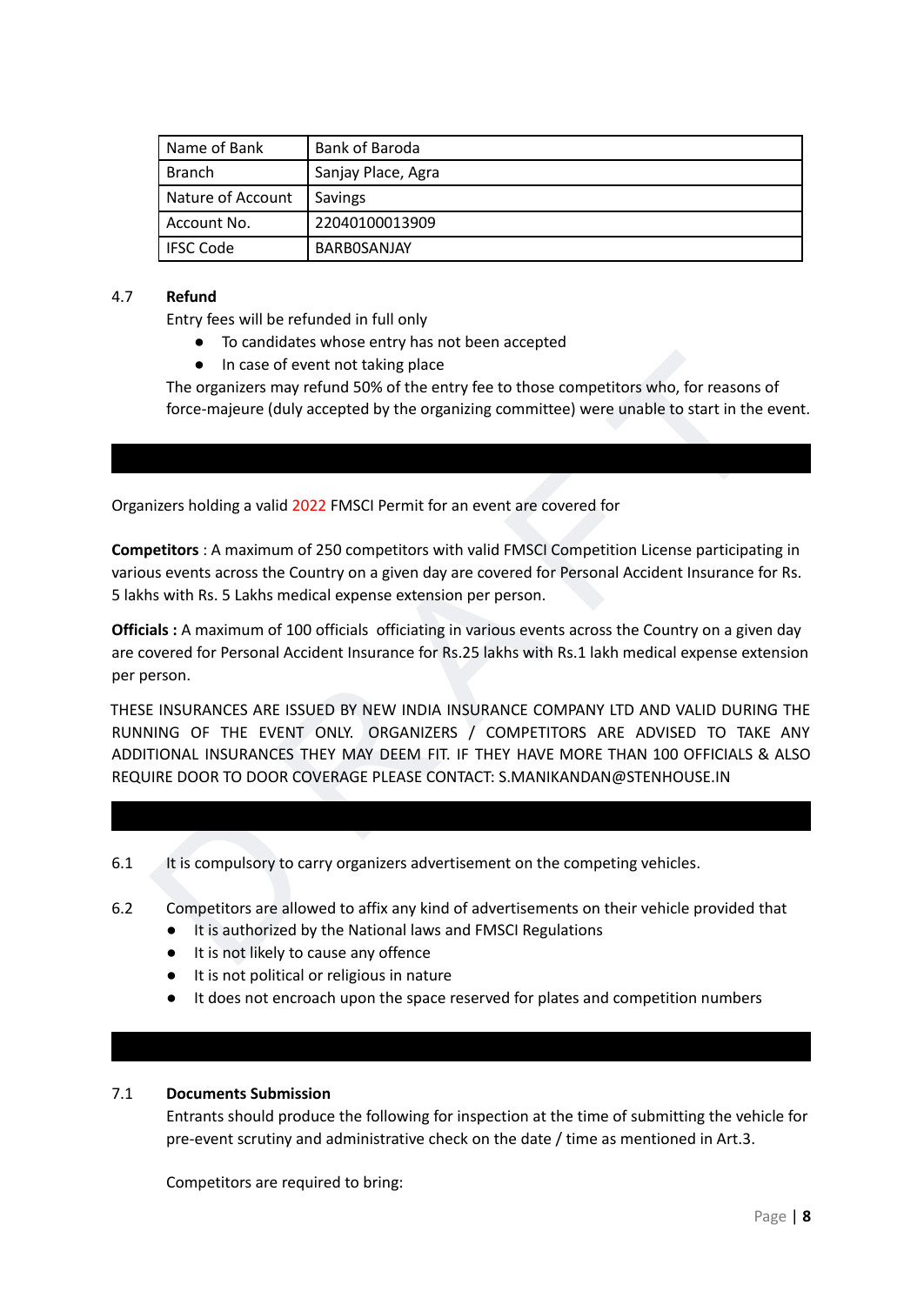| Name of Bank      | Bank of Baroda     |
|-------------------|--------------------|
| Branch            | Sanjay Place, Agra |
| Nature of Account | <b>Savings</b>     |
| Account No.       | 22040100013909     |
| <b>IFSC Code</b>  | BARBOSANJAY        |

#### 4.7 **Refund**

Entry fees will be refunded in full only

- To candidates whose entry has not been accepted
- In case of event not taking place

The organizers may refund 50% of the entry fee to those competitors who, for reasons of force-majeure (duly accepted by the organizing committee) were unable to start in the event.

<span id="page-7-0"></span>Organizers holding a valid 2022 FMSCI Permit for an event are covered for

**Competitors** : A maximum of 250 competitors with valid FMSCI Competition License participating in various events across the Country on a given day are covered for Personal Accident Insurance for Rs. 5 lakhs with Rs. 5 Lakhs medical expense extension per person.

**Officials :** A maximum of 100 officials officiating in various events across the Country on a given day are covered for Personal Accident Insurance for Rs.25 lakhs with Rs.1 lakh medical expense extension per person.

• In case of event not taking place<br>The organizers may refund 50% of the entry fee to those competitors who, for reasons of<br>force-majeure (duly accepted by the organizing committee) were unable to start in the event.<br>force THESE INSURANCES ARE ISSUED BY NEW INDIA INSURANCE COMPANY LTD AND VALID DURING THE RUNNING OF THE EVENT ONLY. ORGANIZERS / COMPETITORS ARE ADVISED TO TAKE ANY ADDITIONAL INSURANCES THEY MAY DEEM FIT. IF THEY HAVE MORE THAN 100 OFFICIALS & ALSO REQUIRE DOOR TO DOOR COVERAGE PLEASE CONTACT: S.MANIKANDAN@STENHOUSE.IN

- <span id="page-7-1"></span>6.1 It is compulsory to carry organizers advertisement on the competing vehicles.
- 6.2 Competitors are allowed to affix any kind of advertisements on their vehicle provided that
	- It is authorized by the National laws and FMSCI Regulations
	- It is not likely to cause any offence
	- It is not political or religious in nature
	- It does not encroach upon the space reserved for plates and competition numbers

#### <span id="page-7-2"></span>7.1 **Documents Submission**

Entrants should produce the following for inspection at the time of submitting the vehicle for pre-event scrutiny and administrative check on the date / time as mentioned in Art.3.

Competitors are required to bring: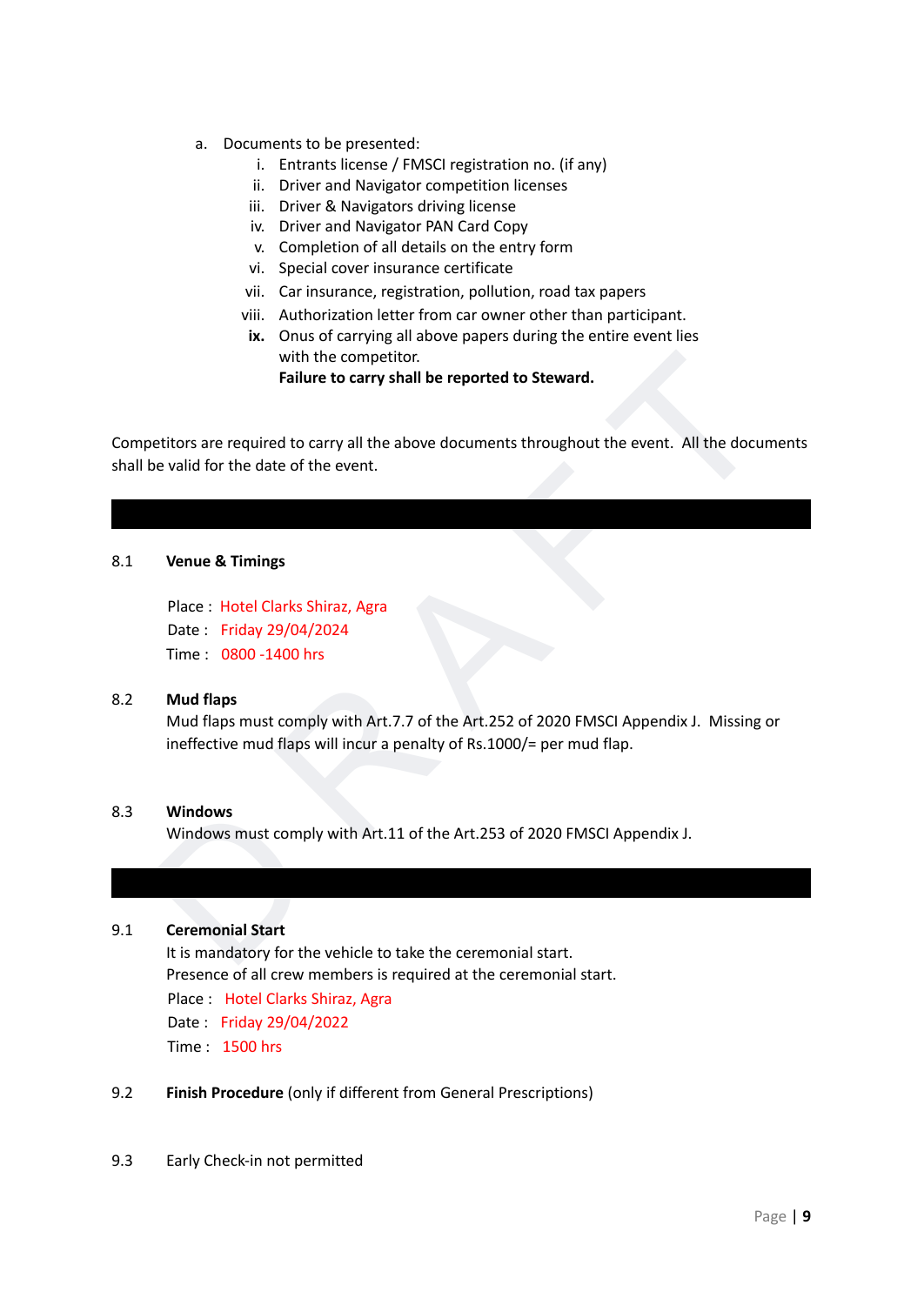- a. Documents to be presented:
	- i. Entrants license / FMSCI registration no. (if any)
	- ii. Driver and Navigator competition licenses
	- iii. Driver & Navigators driving license
	- iv. Driver and Navigator PAN Card Copy
	- v. Completion of all details on the entry form
	- vi. Special cover insurance certificate
	- vii. Car insurance, registration, pollution, road tax papers
	- viii. Authorization letter from car owner other than participant.
	- **ix.** Onus of carrying all above papers during the entire event lies with the competitor.

**Failure to carry shall be reported to Steward.**

with the competitor.<br>
Failure to carry shall be reported to Steward.<br>
bettiors are required to carry all the above documents throughout the event. All the documents<br>
be valid for the date of the event.<br>
Venue & Timings<br>
Pl Competitors are required to carry all the above documents throughout the event. All the documents shall be valid for the date of the event.

#### <span id="page-8-0"></span>8.1 **Venue & Timings**

Place : Hotel Clarks Shiraz, Agra Date : Friday 29/04/2024 Time : 0800 -1400 hrs

#### 8.2 **Mud flaps**

Mud flaps must comply with Art.7.7 of the Art.252 of 2020 FMSCI Appendix J. Missing or ineffective mud flaps will incur a penalty of Rs.1000/= per mud flap.

#### 8.3 **Windows**

Windows must comply with Art.11 of the Art.253 of 2020 FMSCI Appendix J.

#### <span id="page-8-1"></span>9.1 **Ceremonial Start**

It is mandatory for the vehicle to take the ceremonial start. Presence of all crew members is required at the ceremonial start. Place : Hotel Clarks Shiraz, Agra Date : Friday 29/04/2022 Time : 1500 hrs

- 9.2 **Finish Procedure** (only if different from General Prescriptions)
- 9.3 Early Check-in not permitted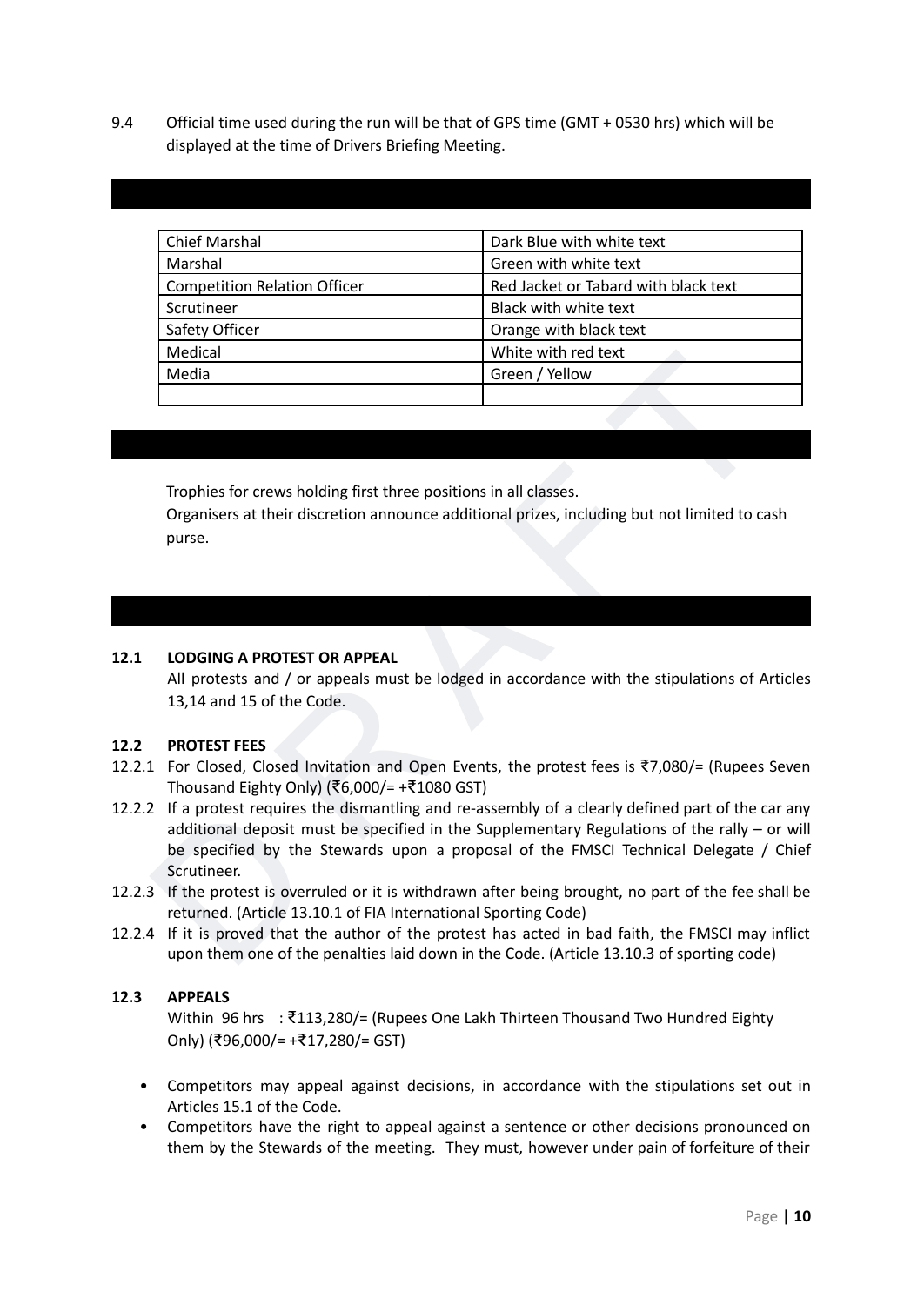9.4 Official time used during the run will be that of GPS time (GMT + 0530 hrs) which will be displayed at the time of Drivers Briefing Meeting.

<span id="page-9-0"></span>

| <b>Chief Marshal</b>                | Dark Blue with white text            |
|-------------------------------------|--------------------------------------|
| Marshal                             | Green with white text                |
| <b>Competition Relation Officer</b> | Red Jacket or Tabard with black text |
| Scrutineer                          | Black with white text                |
| Safety Officer                      | Orange with black text               |
| Medical                             | White with red text                  |
| Media                               | Green / Yellow                       |
|                                     |                                      |

<span id="page-9-1"></span>Trophies for crews holding first three positions in all classes.

Organisers at their discretion announce additional prizes, including but not limited to cash purse.

#### <span id="page-9-2"></span>**12.1 LODGING A PROTEST OR APPEAL**

All protests and / or appeals must be lodged in accordance with the stipulations of Articles 13,14 and 15 of the Code.

#### **12.2 PROTEST FEES**

- 12.2.1 For Closed, Closed Invitation and Open Events, the protest fees is ₹7,080/= (Rupees Seven Thousand Eighty Only) (₹6,000/= +₹1080 GST)
- Media<br>
Media<br>
Media<br>
Media<br>
Media<br>
Media<br>
Media<br>
Media<br>
Media<br>
Tophies for crews holding first three positions in all classes.<br>
Organisers at their discretion announce additional prizes, including but not limited to cash 12.2.2 If a protest requires the dismantling and re-assembly of a clearly defined part of the car any additional deposit must be specified in the Supplementary Regulations of the rally – or will be specified by the Stewards upon a proposal of the FMSCI Technical Delegate / Chief Scrutineer.
- 12.2.3 If the protest is overruled or it is withdrawn after being brought, no part of the fee shall be returned. (Article 13.10.1 of FIA International Sporting Code)
- 12.2.4 If it is proved that the author of the protest has acted in bad faith, the FMSCI may inflict upon them one of the penalties laid down in the Code. (Article 13.10.3 of sporting code)

#### **12.3 APPEALS**

Within 96 hrs : ₹113,280/= (Rupees One Lakh Thirteen Thousand Two Hundred Eighty Only) (₹96,000/= +₹17,280/= GST)

- Competitors may appeal against decisions, in accordance with the stipulations set out in Articles 15.1 of the Code.
- Competitors have the right to appeal against a sentence or other decisions pronounced on them by the Stewards of the meeting. They must, however under pain of forfeiture of their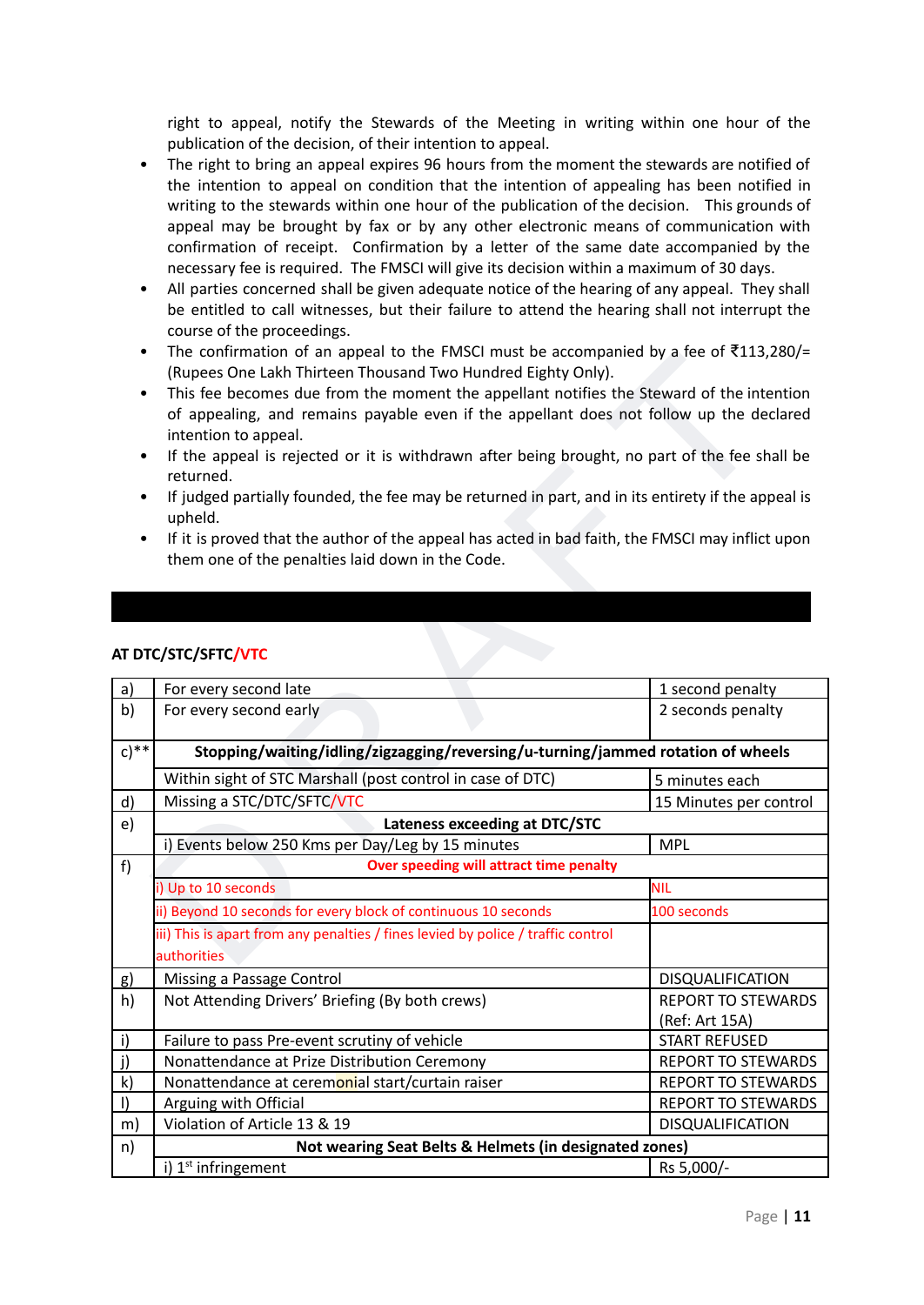right to appeal, notify the Stewards of the Meeting in writing within one hour of the publication of the decision, of their intention to appeal.

- The right to bring an appeal expires 96 hours from the moment the stewards are notified of the intention to appeal on condition that the intention of appealing has been notified in writing to the stewards within one hour of the publication of the decision. This grounds of appeal may be brought by fax or by any other electronic means of communication with confirmation of receipt. Confirmation by a letter of the same date accompanied by the necessary fee is required. The FMSCI will give its decision within a maximum of 30 days.
- All parties concerned shall be given adequate notice of the hearing of any appeal. They shall be entitled to call witnesses, but their failure to attend the hearing shall not interrupt the course of the proceedings.
- The confirmation of an appeal to the FMSCI must be accompanied by a fee of ₹113,280/= (Rupees One Lakh Thirteen Thousand Two Hundred Eighty Only).
- This fee becomes due from the moment the appellant notifies the Steward of the intention of appealing, and remains payable even if the appellant does not follow up the declared intention to appeal.
- If the appeal is rejected or it is withdrawn after being brought, no part of the fee shall be returned.
- If judged partially founded, the fee may be returned in part, and in its entirety if the appeal is upheld.
- If it is proved that the author of the appeal has acted in bad faith, the FMSCI may inflict upon them one of the penalties laid down in the Code.

|              | This fee becomes due from the moment the appellant notifies the Steward of the intention<br>$\bullet$<br>of appealing, and remains payable even if the appellant does not follow up the declared<br>intention to appeal.<br>If the appeal is rejected or it is withdrawn after being brought, no part of the fee shall be<br>$\bullet$<br>returned. |                           |  |
|--------------|-----------------------------------------------------------------------------------------------------------------------------------------------------------------------------------------------------------------------------------------------------------------------------------------------------------------------------------------------------|---------------------------|--|
|              |                                                                                                                                                                                                                                                                                                                                                     |                           |  |
| ٠            | If judged partially founded, the fee may be returned in part, and in its entirety if the appeal is<br>upheld.                                                                                                                                                                                                                                       |                           |  |
| $\bullet$    | If it is proved that the author of the appeal has acted in bad faith, the FMSCI may inflict upon<br>them one of the penalties laid down in the Code.                                                                                                                                                                                                |                           |  |
|              |                                                                                                                                                                                                                                                                                                                                                     |                           |  |
|              |                                                                                                                                                                                                                                                                                                                                                     |                           |  |
|              | AT DTC/STC/SFTC/VTC                                                                                                                                                                                                                                                                                                                                 |                           |  |
| a)           | For every second late                                                                                                                                                                                                                                                                                                                               | 1 second penalty          |  |
| b)           | For every second early                                                                                                                                                                                                                                                                                                                              | 2 seconds penalty         |  |
| $c)$ **      | Stopping/waiting/idling/zigzagging/reversing/u-turning/jammed rotation of wheels                                                                                                                                                                                                                                                                    |                           |  |
|              | Within sight of STC Marshall (post control in case of DTC)                                                                                                                                                                                                                                                                                          | 5 minutes each            |  |
| d)           | Missing a STC/DTC/SFTC/VTC                                                                                                                                                                                                                                                                                                                          | 15 Minutes per control    |  |
| e)           | Lateness exceeding at DTC/STC                                                                                                                                                                                                                                                                                                                       |                           |  |
|              | i) Events below 250 Kms per Day/Leg by 15 minutes                                                                                                                                                                                                                                                                                                   | <b>MPL</b>                |  |
| f            | Over speeding will attract time penalty                                                                                                                                                                                                                                                                                                             |                           |  |
|              | i) Up to 10 seconds                                                                                                                                                                                                                                                                                                                                 | <b>NIL</b>                |  |
|              | ii) Beyond 10 seconds for every block of continuous 10 seconds                                                                                                                                                                                                                                                                                      | 100 seconds               |  |
|              | iii) This is apart from any penalties / fines levied by police / traffic control                                                                                                                                                                                                                                                                    |                           |  |
|              | authorities                                                                                                                                                                                                                                                                                                                                         |                           |  |
| g)           | Missing a Passage Control                                                                                                                                                                                                                                                                                                                           | DISQUALIFICATION          |  |
| h)           | Not Attending Drivers' Briefing (By both crews)                                                                                                                                                                                                                                                                                                     | <b>REPORT TO STEWARDS</b> |  |
|              |                                                                                                                                                                                                                                                                                                                                                     | (Ref: Art 15A)            |  |
| $\mathbf{i}$ | Failure to pass Pre-event scrutiny of vehicle                                                                                                                                                                                                                                                                                                       | <b>START REFUSED</b>      |  |
| j)           | Nonattendance at Prize Distribution Ceremony                                                                                                                                                                                                                                                                                                        | <b>REPORT TO STEWARDS</b> |  |
| $\mathsf{k}$ | Nonattendance at ceremonial start/curtain raiser                                                                                                                                                                                                                                                                                                    | <b>REPORT TO STEWARDS</b> |  |
|              | Arguing with Official                                                                                                                                                                                                                                                                                                                               | REPORT TO STEWARDS        |  |
| $\vert$      |                                                                                                                                                                                                                                                                                                                                                     |                           |  |
| m)           | Violation of Article 13 & 19                                                                                                                                                                                                                                                                                                                        | <b>DISQUALIFICATION</b>   |  |
| n)           | Not wearing Seat Belts & Helmets (in designated zones)                                                                                                                                                                                                                                                                                              |                           |  |

#### <span id="page-10-0"></span>**AT DTC/STC/SFTC/VTC**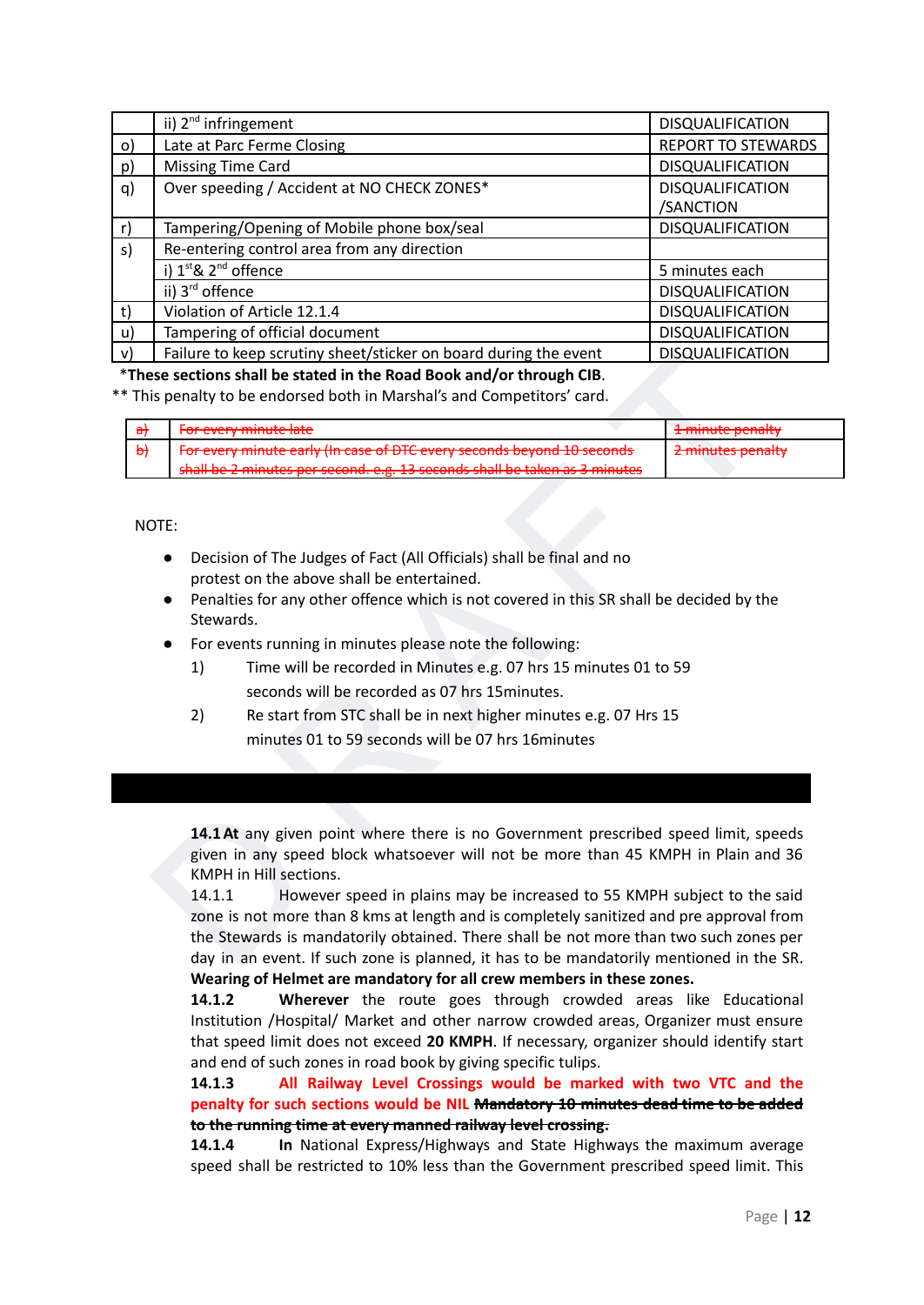|          | ii) 2 <sup>nd</sup> infringement                                 | <b>DISQUALIFICATION</b>   |
|----------|------------------------------------------------------------------|---------------------------|
| $\circ)$ | Late at Parc Ferme Closing                                       | <b>REPORT TO STEWARDS</b> |
| p)       | <b>Missing Time Card</b>                                         | DISQUALIFICATION          |
| q)       | Over speeding / Accident at NO CHECK ZONES*                      | <b>DISQUALIFICATION</b>   |
|          |                                                                  | /SANCTION                 |
| r)       | Tampering/Opening of Mobile phone box/seal                       | <b>DISQUALIFICATION</b>   |
| s)       | Re-entering control area from any direction                      |                           |
|          | i) 1st & 2 <sup>nd</sup> offence                                 | 5 minutes each            |
|          | ii) 3 <sup>rd</sup> offence                                      | <b>DISQUALIFICATION</b>   |
| t)       | Violation of Article 12.1.4                                      | <b>DISQUALIFICATION</b>   |
| u)       | Tampering of official document                                   | DISQUALIFICATION          |
| v)       | Failure to keep scrutiny sheet/sticker on board during the event | <b>DISQUALIFICATION</b>   |

\***These sections shall be stated in the Road Book and/or through CIB**.

\*\* This penalty to be endorsed both in Marshal's and Competitors' card.

| For overworship late<br><del>For every minute late</del>                                                                                                     | 1 minute penalty                                  |
|--------------------------------------------------------------------------------------------------------------------------------------------------------------|---------------------------------------------------|
| For every minute early (In case of DTC every seconds beyond 10 seconds                                                                                       | 2 minutes nonelty<br><del>z minutes penaity</del> |
| chall he 2 minutes not second a g 12 seconds shall he taken as 2 minutes<br><u>shan be z filmutes per second. e.g. 13 seconds shan be taken as 3 minutes</u> |                                                   |

#### NOTE:

- Decision of The Judges of Fact (All Officials) shall be final and no protest on the above shall be entertained.
- Penalties for any other offence which is not covered in this SR shall be decided by the Stewards.
- For events running in minutes please note the following:
	- 1) Time will be recorded in Minutes e.g. 07 hrs 15 minutes 01 to 59 seconds will be recorded as 07 hrs 15minutes.
	- 2) Re start from STC shall be in next higher minutes e.g. 07 Hrs 15 minutes 01 to 59 seconds will be 07 hrs 16minutes

<span id="page-11-0"></span>**14.1At** any given point where there is no Government prescribed speed limit, speeds given in any speed block whatsoever will not be more than 45 KMPH in Plain and 36 KMPH in Hill sections.

Failure to keep scrutting sine-etysic cicker on board during the event<br>
is exact too said be stated in the Road Book and/or through CIB.<br>
Si penalty to be endorsed both in Marsha's and Competitors' card.<br>
The revery minut 14.1.1 However speed in plains may be increased to 55 KMPH subject to the said zone is not more than 8 kms at length and is completely sanitized and pre approval from the Stewards is mandatorily obtained. There shall be not more than two such zones per day in an event. If such zone is planned, it has to be mandatorily mentioned in the SR. **Wearing of Helmet are mandatory for all crew members in these zones.**

**14.1.2 Wherever** the route goes through crowded areas like Educational Institution /Hospital/ Market and other narrow crowded areas, Organizer must ensure that speed limit does not exceed **20 KMPH**. If necessary, organizer should identify start and end of such zones in road book by giving specific tulips.

**14.1.3 All Railway Level Crossings would be marked with two VTC and the penalty for such sections would be NIL Mandatory 10 minutes dead time to be added to the running time at every manned railway level crossing.**

**14.1.4 In** National Express/Highways and State Highways the maximum average speed shall be restricted to 10% less than the Government prescribed speed limit. This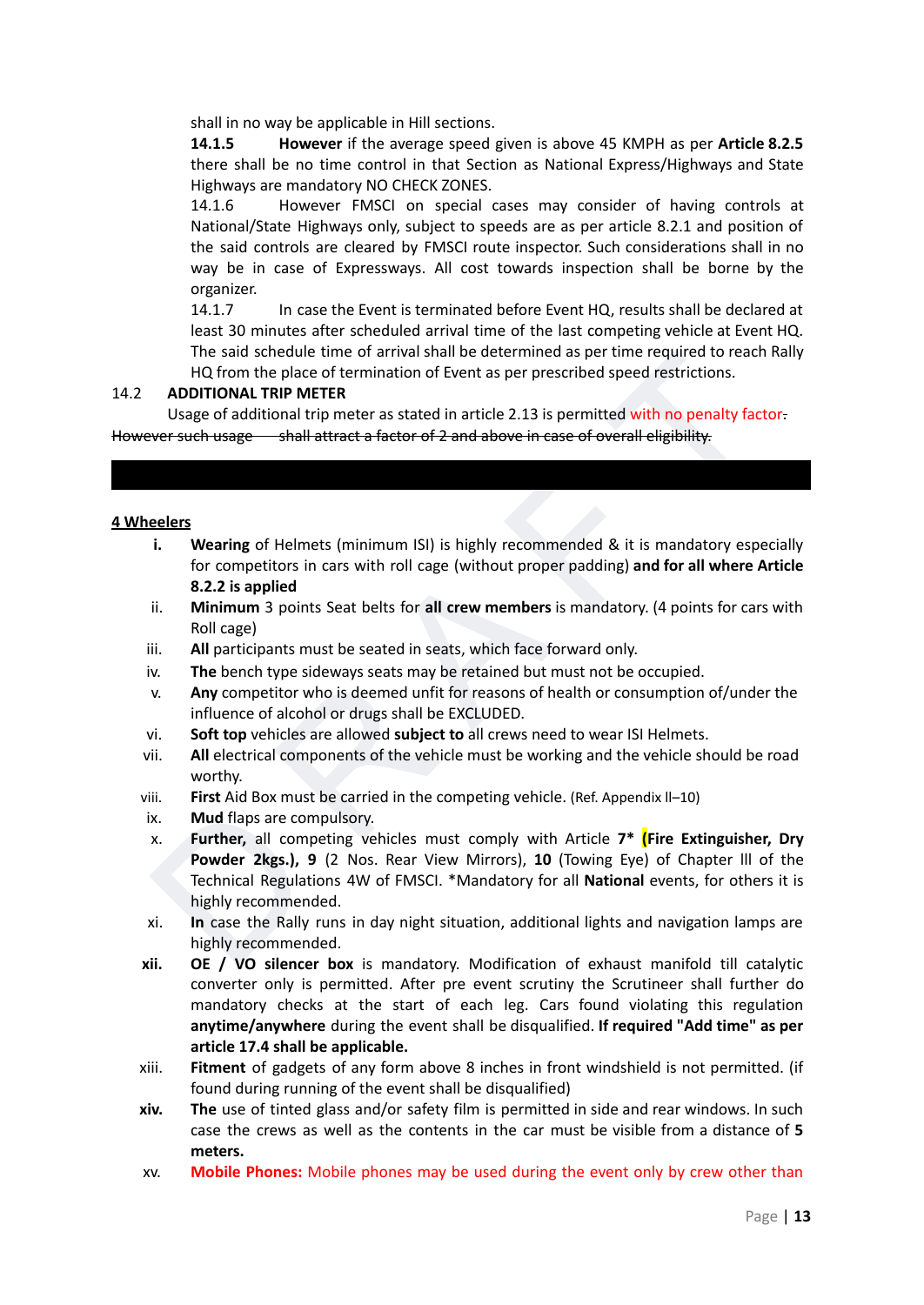shall in no way be applicable in Hill sections.

**14.1.5 However** if the average speed given is above 45 KMPH as per **Article 8.2.5** there shall be no time control in that Section as National Express/Highways and State Highways are mandatory NO CHECK ZONES.

14.1.6 However FMSCI on special cases may consider of having controls at National/State Highways only, subject to speeds are as per article 8.2.1 and position of the said controls are cleared by FMSCI route inspector. Such considerations shall in no way be in case of Expressways. All cost towards inspection shall be borne by the organizer.

14.1.7 In case the Event is terminated before Event HQ, results shall be declared at least 30 minutes after scheduled arrival time of the last competing vehicle at Event HQ. The said schedule time of arrival shall be determined as per time required to reach Rally HQ from the place of termination of Event as per prescribed speed restrictions.

#### 14.2 **ADDITIONAL TRIP METER**

<span id="page-12-0"></span>Usage of additional trip meter as stated in article 2.13 is permitted with no penalty factor. However such usage shall attract a factor of 2 and above in case of overall eligibility.

#### **4 Wheelers**

- **i. Wearing** of Helmets (minimum ISI) is highly recommended & it is mandatory especially for competitors in cars with roll cage (without proper padding) **and for all where Article 8.2.2 is applied**
- ii. **Minimum** 3 points Seat belts for **all crew members** is mandatory. (4 points for cars with Roll cage)
- iii. **All** participants must be seated in seats, which face forward only.
- iv. **The** bench type sideways seats may be retained but must not be occupied.
- v. **Any** competitor who is deemed unfit for reasons of health or consumption of/under the influence of alcohol or drugs shall be EXCLUDED.
- vi. **Soft top** vehicles are allowed **subject to** all crews need to wear ISI Helmets.
- vii. **All** electrical components of the vehicle must be working and the vehicle should be road worthy.
- viii. **First** Aid Box must be carried in the competing vehicle. (Ref. Appendix ll–10)
- ix. **Mud** flaps are compulsory.
- The said schedule time of arrival shall be edetermined as per time required to reach Rally<br>
HQ from the place of termination of Event as per prescribed speed restrictions.<br> **ADDITIONAL TRIP METER**<br>
Usage of additional tri x. **Further,** all competing vehicles must comply with Article **7\* (Fire Extinguisher, Dry Powder 2kgs.), 9** (2 Nos. Rear View Mirrors), **10** (Towing Eye) of Chapter lll of the Technical Regulations 4W of FMSCI. \*Mandatory for all **National** events, for others it is highly recommended.
- xi. **In** case the Rally runs in day night situation, additional lights and navigation lamps are highly recommended.
- **xii. OE / VO silencer box** is mandatory. Modification of exhaust manifold till catalytic converter only is permitted. After pre event scrutiny the Scrutineer shall further do mandatory checks at the start of each leg. Cars found violating this regulation **anytime/anywhere** during the event shall be disqualified. **If required "Add time" as per article 17.4 shall be applicable.**
- xiii. **Fitment** of gadgets of any form above 8 inches in front windshield is not permitted. (if found during running of the event shall be disqualified)
- **xiv. The** use of tinted glass and/or safety film is permitted in side and rear windows. In such case the crews as well as the contents in the car must be visible from a distance of **5 meters.**
- xv. **Mobile Phones:** Mobile phones may be used during the event only by crew other than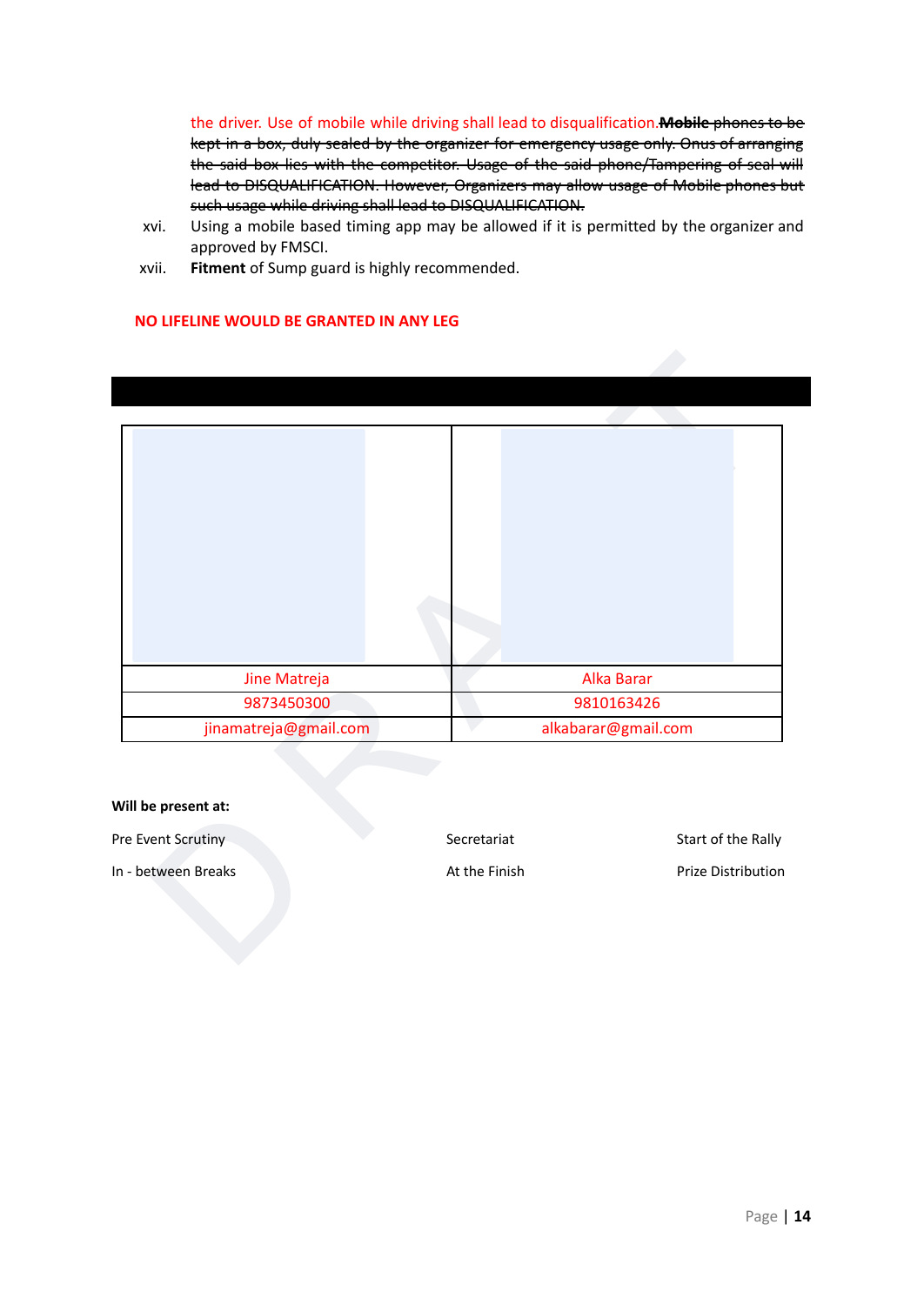the driver. Use of mobile while driving shall lead to disqualification.**Mobile** phones to be kept in a box, duly sealed by the organizer for emergency usage only. Onus of arranging the said box lies with the competitor. Usage of the said phone/Tampering of seal will lead to DISQUALIFICATION. However, Organizers may allow usage of Mobile phones but such usage while driving shall lead to DISQUALIFICATION.

- xvi. Using a mobile based timing app may be allowed if it is permitted by the organizer and approved by FMSCI.
- xvii. **Fitment** of Sump guard is highly recommended.

#### **NO LIFELINE WOULD BE GRANTED IN ANY LEG**

<span id="page-13-0"></span>

#### **Will be present at:**

Pre Event Scrutiny Secretariat Start of the Rally

In - between Breaks **At the Finish Prize Distribution** At the Finish Prize Distribution

Page | **14**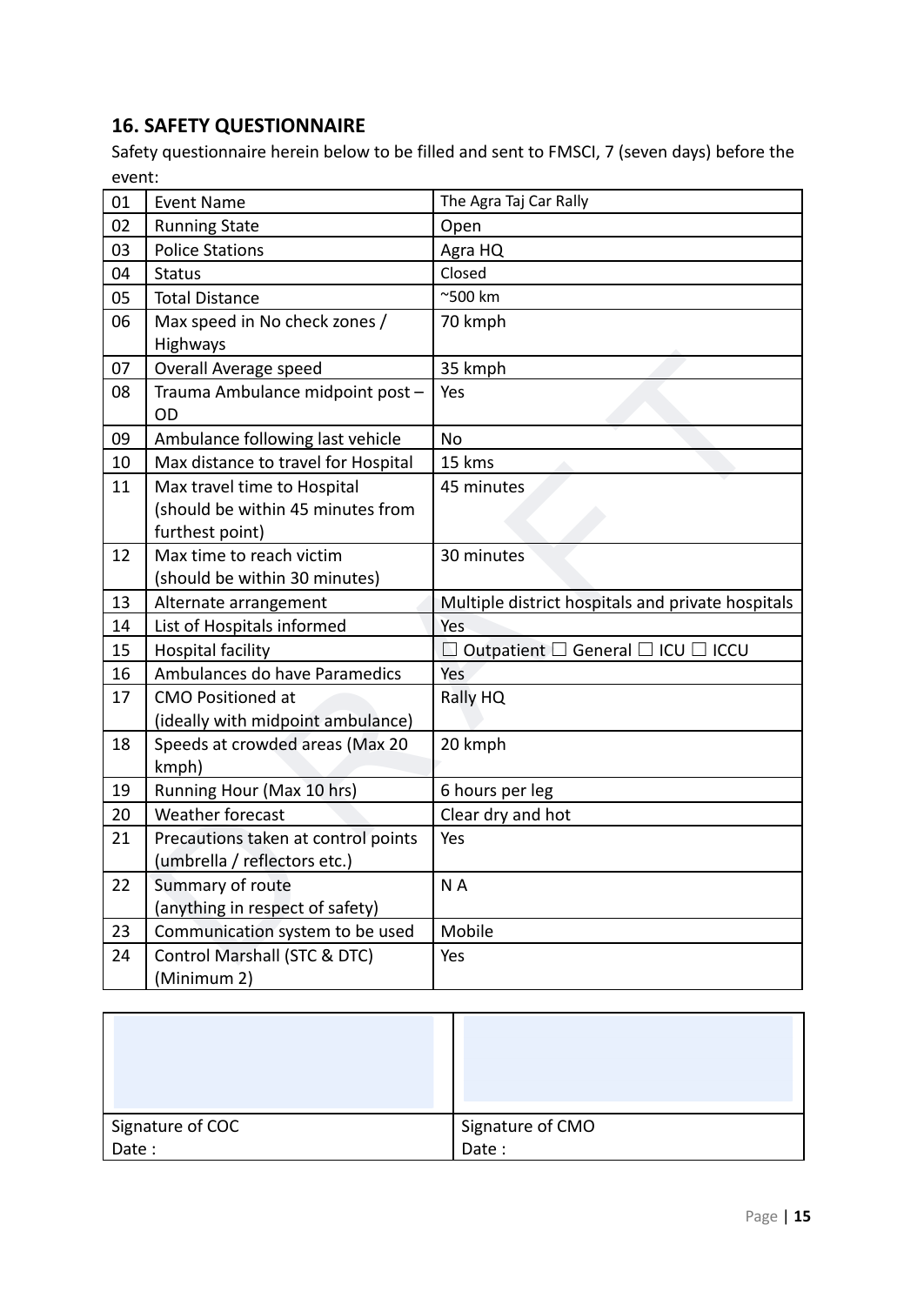## <span id="page-14-0"></span>**16. SAFETY QUESTIONNAIRE**

Safety questionnaire herein below to be filled and sent to FMSCI, 7 (seven days) before the event:

| 01 | <b>Event Name</b>                                                                   | The Agra Taj Car Rally                                  |
|----|-------------------------------------------------------------------------------------|---------------------------------------------------------|
| 02 | <b>Running State</b>                                                                | Open                                                    |
| 03 | <b>Police Stations</b>                                                              | Agra HQ                                                 |
| 04 | <b>Status</b>                                                                       | Closed                                                  |
| 05 | <b>Total Distance</b>                                                               | $^{\sim}$ 500 km                                        |
| 06 | Max speed in No check zones /<br>Highways                                           | 70 kmph                                                 |
| 07 | Overall Average speed                                                               | 35 kmph                                                 |
| 08 | Trauma Ambulance midpoint post -<br>OD                                              | Yes                                                     |
| 09 | Ambulance following last vehicle                                                    | <b>No</b>                                               |
| 10 | Max distance to travel for Hospital                                                 | 15 kms                                                  |
| 11 | Max travel time to Hospital<br>(should be within 45 minutes from<br>furthest point) | 45 minutes                                              |
| 12 | Max time to reach victim<br>(should be within 30 minutes)                           | 30 minutes                                              |
| 13 | Alternate arrangement                                                               | Multiple district hospitals and private hospitals       |
| 14 | List of Hospitals informed                                                          | Yes                                                     |
| 15 | <b>Hospital facility</b>                                                            | $\Box$ Outpatient $\Box$ General $\Box$ ICU $\Box$ ICCU |
| 16 | Ambulances do have Paramedics                                                       | Yes                                                     |
| 17 | <b>CMO Positioned at</b><br>(ideally with midpoint ambulance)                       | Rally HQ                                                |
| 18 | Speeds at crowded areas (Max 20<br>kmph)                                            | 20 kmph                                                 |
| 19 | Running Hour (Max 10 hrs)                                                           | 6 hours per leg                                         |
| 20 | Weather forecast                                                                    | Clear dry and hot                                       |
| 21 | Precautions taken at control points<br>(umbrella / reflectors etc.)                 | Yes                                                     |
| 22 | Summary of route<br>(anything in respect of safety)                                 | NA                                                      |
| 23 | Communication system to be used                                                     | Mobile                                                  |
| 24 | Control Marshall (STC & DTC)<br>(Minimum 2)                                         | Yes                                                     |

| Signature of COC | Signature of CMO |
|------------------|------------------|
| Date:            | Date:            |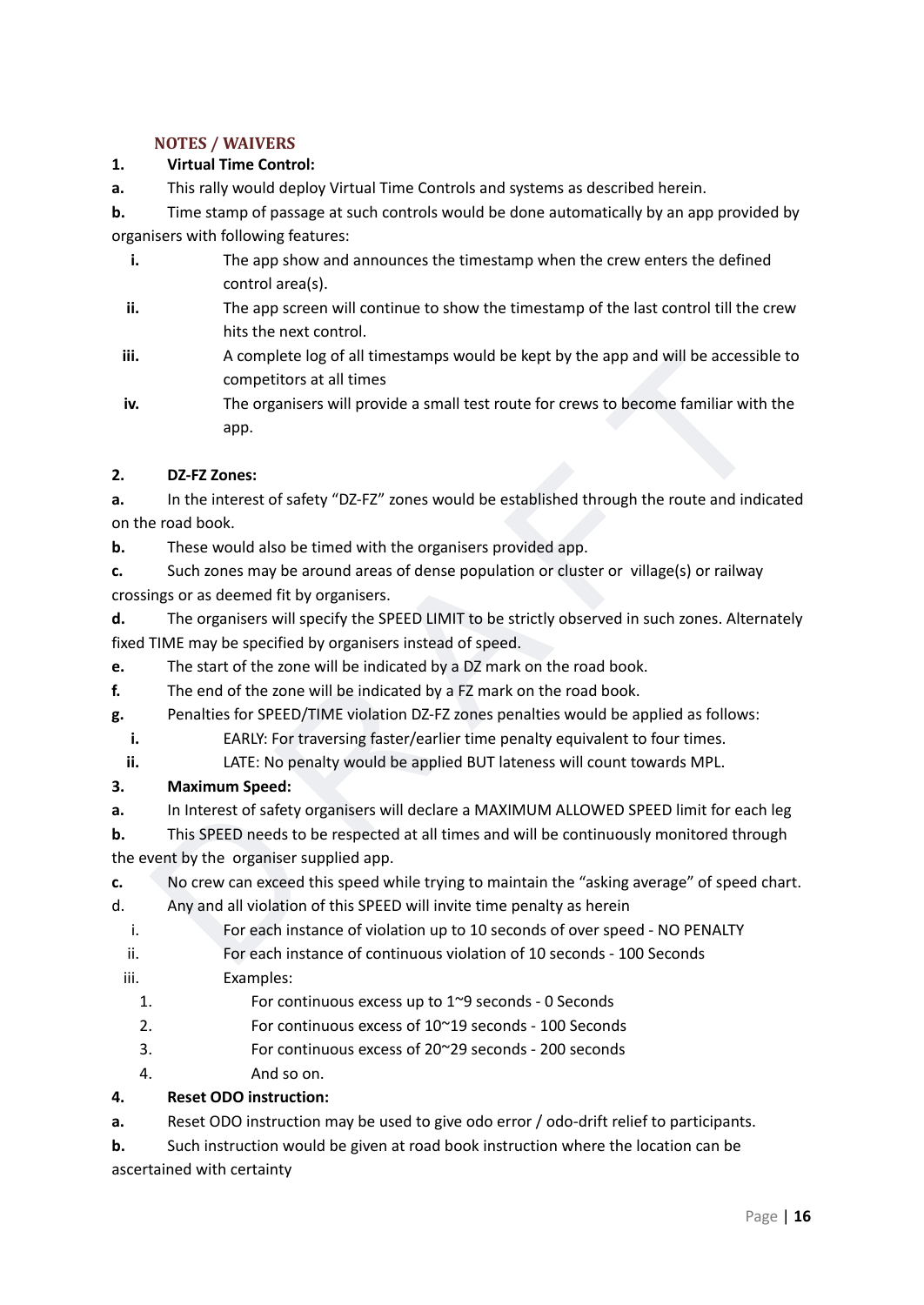#### **NOTES / WAIVERS**

#### **1. Virtual Time Control:**

**a.** This rally would deploy Virtual Time Controls and systems as described herein.

**b.** Time stamp of passage at such controls would be done automatically by an app provided by organisers with following features:

- **i.** The app show and announces the timestamp when the crew enters the defined control area(s).
- **ii.** The app screen will continue to show the timestamp of the last control till the crew hits the next control.
- **iii.** A complete log of all timestamps would be kept by the app and will be accessible to competitors at all times
- A complete log of all timestamps would be kept by the app and will be accessible to<br>
competitors at all times<br>
The organisers will provide a small test route for crews to become familiar with the<br>
app.<br>
DZ-FZ Zones:<br>
In th **iv.** The organisers will provide a small test route for crews to become familiar with the app.

#### **2. DZ-FZ Zones:**

**a.** In the interest of safety "DZ-FZ" zones would be established through the route and indicated on the road book.

**b.** These would also be timed with the organisers provided app.

**c.** Such zones may be around areas of dense population or cluster or village(s) or railway crossings or as deemed fit by organisers.

- **d.** The organisers will specify the SPEED LIMIT to be strictly observed in such zones. Alternately fixed TIME may be specified by organisers instead of speed.
- **e.** The start of the zone will be indicated by a DZ mark on the road book.
- **f.** The end of the zone will be indicated by a FZ mark on the road book.
- **g.** Penalties for SPEED/TIME violation DZ-FZ zones penalties would be applied as follows:
	- **i.** EARLY: For traversing faster/earlier time penalty equivalent to four times.
	- **ii.** LATE: No penalty would be applied BUT lateness will count towards MPL.

#### **3. Maximum Speed:**

**a.** In Interest of safety organisers will declare a MAXIMUM ALLOWED SPEED limit for each leg

**b.** This SPEED needs to be respected at all times and will be continuously monitored through the event by the organiser supplied app.

- **c.** No crew can exceed this speed while trying to maintain the "asking average" of speed chart.
- d. Any and all violation of this SPEED will invite time penalty as herein
	- i. For each instance of violation up to 10 seconds of over speed NO PENALTY
	- ii. For each instance of continuous violation of 10 seconds 100 Seconds
	- iii. Examples:
		- 1. For continuous excess up to 1~9 seconds 0 Seconds
		- 2. For continuous excess of 10~19 seconds 100 Seconds
		- 3. For continuous excess of 20~29 seconds 200 seconds
		- 4. And so on.

#### **4. Reset ODO instruction:**

**a.** Reset ODO instruction may be used to give odo error / odo-drift relief to participants.

**b.** Such instruction would be given at road book instruction where the location can be ascertained with certainty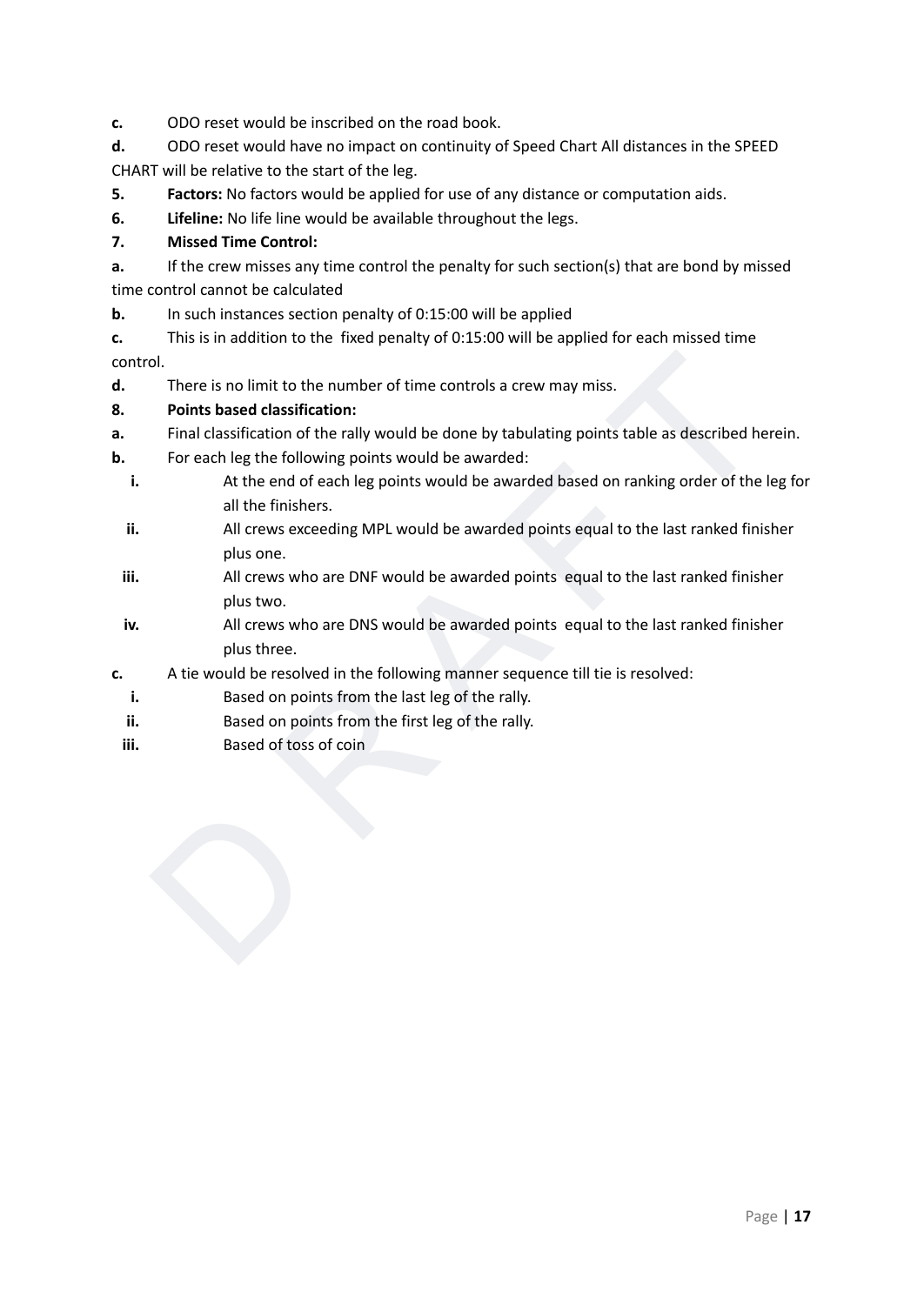**c.** ODO reset would be inscribed on the road book.

**d.** ODO reset would have no impact on continuity of Speed Chart All distances in the SPEED CHART will be relative to the start of the leg.

- **5. Factors:** No factors would be applied for use of any distance or computation aids.
- **6. Lifeline:** No life line would be available throughout the legs.

#### **7. Missed Time Control:**

**a.** If the crew misses any time control the penalty for such section(s) that are bond by missed time control cannot be calculated

**b.** In such instances section penalty of 0:15:00 will be applied

**c.** This is in addition to the fixed penalty of 0:15:00 will be applied for each missed time control.

**d.** There is no limit to the number of time controls a crew may miss.

#### **8. Points based classification:**

- **a.** Final classification of the rally would be done by tabulating points table as described herein.
- **b.** For each leg the following points would be awarded:
- ol.<br>
There is no limit to the number of time controls a crew may miss.<br>
There is no limit based classification:<br>
Final classification of the rally would be done by tabulating points table as described herein.<br>
For each leg **i.** At the end of each leg points would be awarded based on ranking order of the leg for all the finishers.
	- **ii.** All crews exceeding MPL would be awarded points equal to the last ranked finisher plus one.
	- **iii.** All crews who are DNF would be awarded points equal to the last ranked finisher plus two.
	- **iv.** All crews who are DNS would be awarded points equal to the last ranked finisher plus three.
- **c.** A tie would be resolved in the following manner sequence till tie is resolved:
	- **i.** Based on points from the last leg of the rally.
	- **ii.** Based on points from the first leg of the rally.
	- **iii.** Based of toss of coin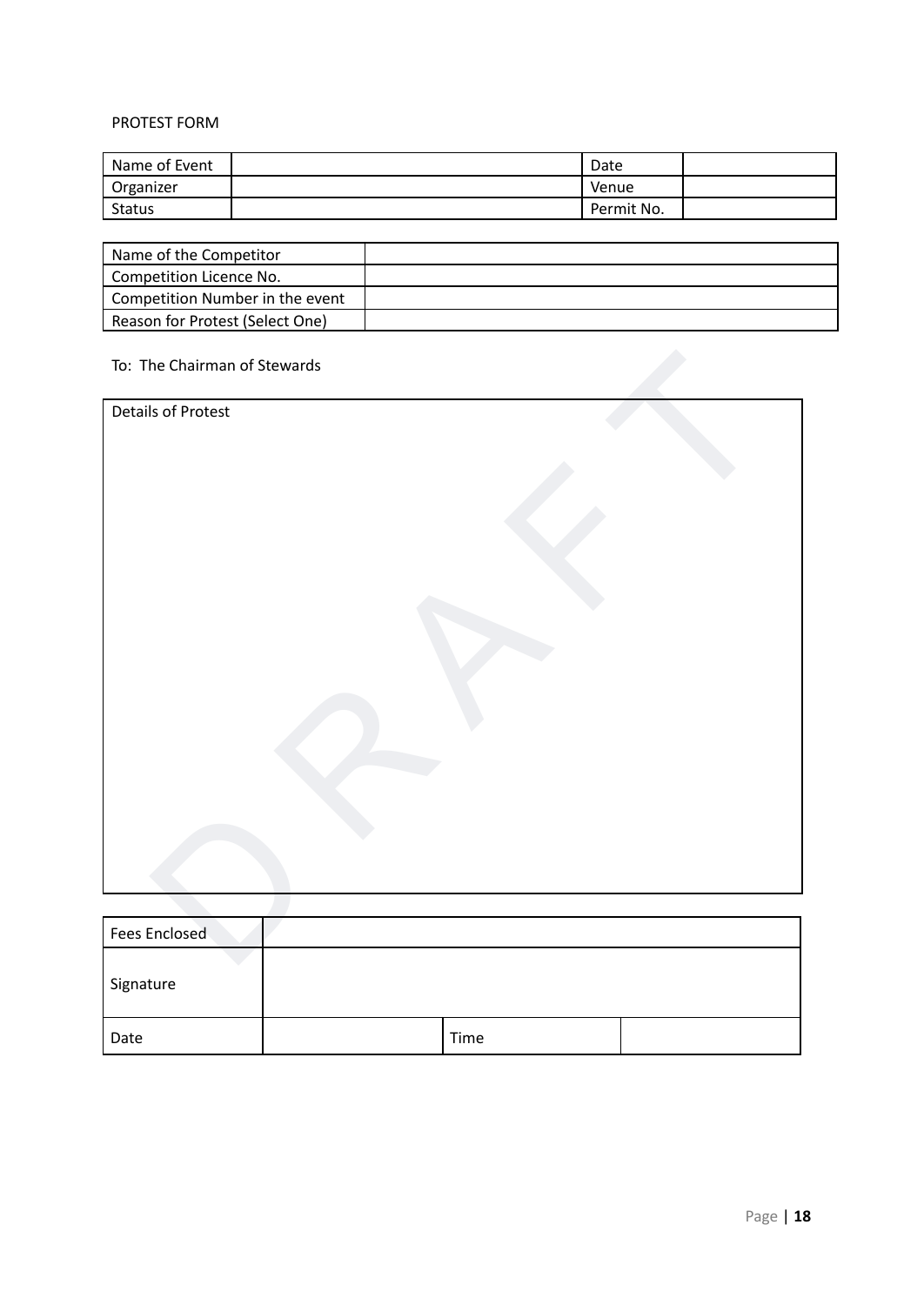#### PROTEST FORM

| Name of Event | Date       |  |
|---------------|------------|--|
| Organizer     | Venue      |  |
| <b>Status</b> | Permit No. |  |

| Name of the Competitor          |  |
|---------------------------------|--|
| Competition Licence No.         |  |
| Competition Number in the event |  |
| Reason for Protest (Select One) |  |

#### To: The Chairman of Stewards

| To: The Chairman of Stewards |  |
|------------------------------|--|
| <b>Details of Protest</b>    |  |
|                              |  |
|                              |  |
|                              |  |
|                              |  |
|                              |  |
|                              |  |
|                              |  |
|                              |  |
|                              |  |
|                              |  |
|                              |  |
|                              |  |
| Fees Enclosed                |  |
|                              |  |

| Fees Enclosed |      |  |
|---------------|------|--|
| Signature     |      |  |
| Date          | Time |  |